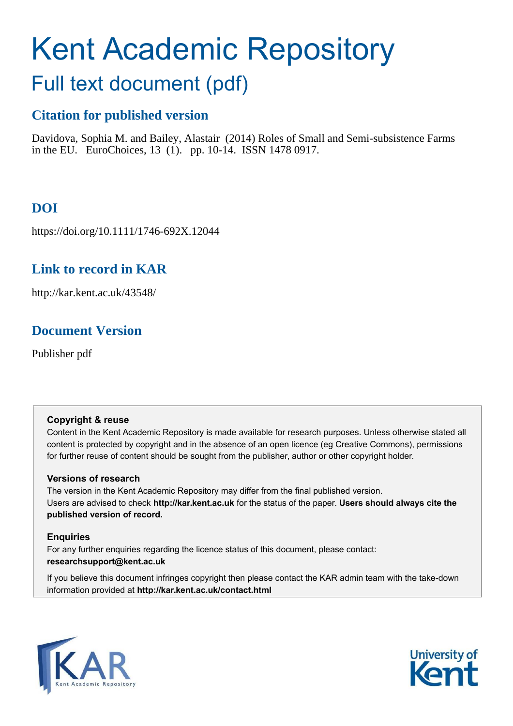## Kent Academic Repository

## Full text document (pdf)

## **Citation for published version**

Davidova, Sophia M. and Bailey, Alastair (2014) Roles of Small and Semi-subsistence Farms in the EU. EuroChoices, 13 (1). pp. 10-14. ISSN 1478 0917.

## **DOI**

https://doi.org/10.1111/1746-692X.12044

## **Link to record in KAR**

http://kar.kent.ac.uk/43548/

## **Document Version**

Publisher pdf

#### **Copyright & reuse**

Content in the Kent Academic Repository is made available for research purposes. Unless otherwise stated all content is protected by copyright and in the absence of an open licence (eg Creative Commons), permissions for further reuse of content should be sought from the publisher, author or other copyright holder.

#### **Versions of research**

The version in the Kent Academic Repository may differ from the final published version. Users are advised to check **http://kar.kent.ac.uk** for the status of the paper. **Users should always cite the published version of record.**

#### **Enquiries**

For any further enquiries regarding the licence status of this document, please contact: **researchsupport@kent.ac.uk**

If you believe this document infringes copyright then please contact the KAR admin team with the take-down information provided at **http://kar.kent.ac.uk/contact.html**



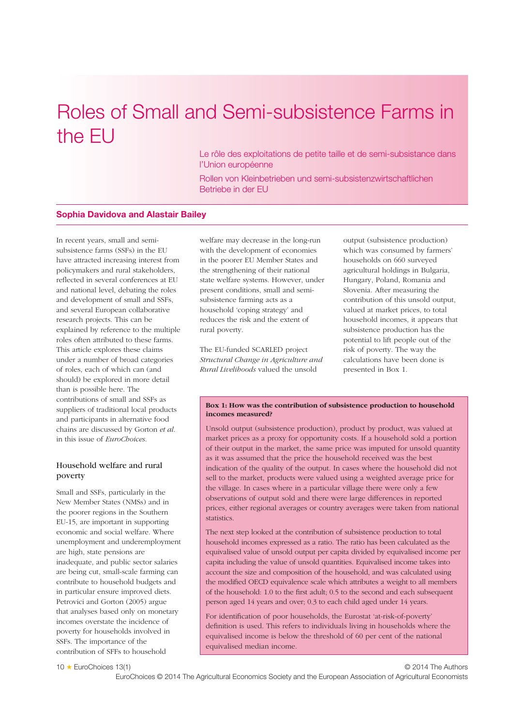## Roles of Small and Semi- subsistence Farms in the EU

Le rôle des exploitations de petite taille et de semi-subsistance dans l'Union européenne

 Rollen von Kleinbetrieben und semi- subsistenzwirtschaftlichen Betriebe in der EU

#### **Sophia Davidova and Alastair Bailey**

In recent years, small and semisubsistence farms (SSFs) in the EU have attracted increasing interest from policymakers and rural stakeholders, reflected in several conferences at EU and national level, debating the roles and development of small and SSFs, and several European collaborative research projects. This can be explained by reference to the multiple roles often attributed to these farms. This article explores these claims under a number of broad categories of roles, each of which can (and should) be explored in more detail than is possible here. The contributions of small and SSFs as suppliers of traditional local products and participants in alternative food chains are discussed by Gorton *et al* . in this issue of *EuroChoices* .

#### Household welfare and rural poverty

Small and SSFs, particularly in the New Member States (NMSs) and in the poorer regions in the Southern EU-15, are important in supporting economic and social welfare. Where unemployment and underemployment are high, state pensions are inadequate, and public sector salaries are being cut, small-scale farming can contribute to household budgets and in particular ensure improved diets. Petrovici and Gorton (2005) argue that analyses based only on monetary incomes overstate the incidence of poverty for households involved in SSFs. The importance of the contribution of SFFs to household

welfare may decrease in the long-run with the development of economies in the poorer EU Member States and the strengthening of their national state welfare systems. However, under present conditions, small and semisubsistence farming acts as a household 'coping strategy' and reduces the risk and the extent of rural poverty.

The EU-funded SCARLED project *Structural Change in Agriculture and Rural Livelihoods* valued the unsold

output (subsistence production) which was consumed by farmers' households on 660 surveyed agricultural holdings in Bulgaria, Hungary, Poland, Romania and Slovenia. After measuring the contribution of this unsold output, valued at market prices, to total household incomes, it appears that subsistence production has the potential to lift people out of the risk of poverty. The way the calculations have been done is presented in Box 1.

#### Box 1: How was the contribution of subsistence production to household **incomes measured?**

 Unsold output (subsistence production), product by product, was valued at market prices as a proxy for opportunity costs. If a household sold a portion of their output in the market, the same price was imputed for unsold quantity as it was assumed that the price the household received was the best indication of the quality of the output. In cases where the household did not sell to the market, products were valued using a weighted average price for the village. In cases where in a particular village there were only a few observations of output sold and there were large differences in reported prices, either regional averages or country averages were taken from national statistics.

The next step looked at the contribution of subsistence production to total household incomes expressed as a ratio. The ratio has been calculated as the equivalised value of unsold output per capita divided by equivalised income per capita including the value of unsold quantities. Equivalised income takes into account the size and composition of the household, and was calculated using the modified OECD equivalence scale which attributes a weight to all members of the household: 1.0 to the first adult; 0.5 to the second and each subsequent person aged 14 years and over; 0.3 to each child aged under 14 years.

For identification of poor households, the Eurostat 'at-risk-of-poverty' definition is used. This refers to individuals living in households where the equivalised income is below the threshold of 60 per cent of the national equivalised median income.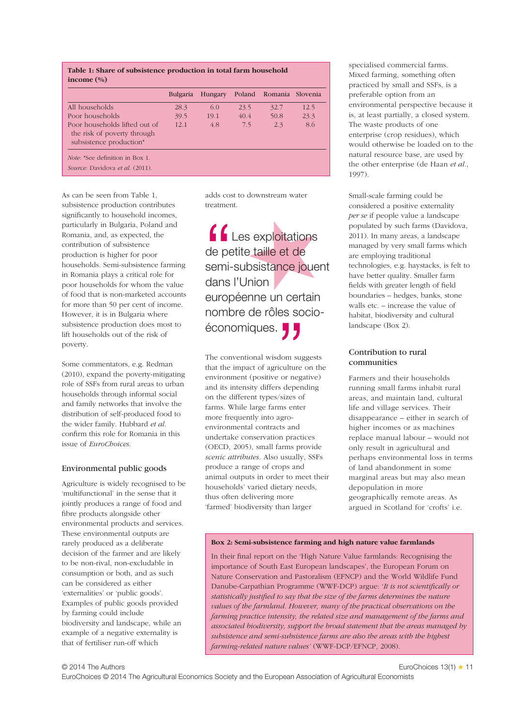#### Table 1: Share of subsistence production in total farm household  **income (%)**

|                                                                                         | <b>Bulgaria</b> | Hungary |      | Poland Romania Slovenia |      |
|-----------------------------------------------------------------------------------------|-----------------|---------|------|-------------------------|------|
| All households                                                                          | 28.3            | 6.0     | 23.5 | 32.7                    | 12.5 |
| Poor households                                                                         | 39.5            | 19.1    | 40.4 | 50.8                    | 23.3 |
| Poor households lifted out of<br>the risk of poverty through<br>subsistence production* | 12.1            | 4.8     | 7.5  | 2.3                     | 8.6  |
| <i>Note:</i> *See definition in Box 1.<br><i>Source: Davidova et al.</i> (2011).        |                 |         |      |                         |      |

As can be seen from Table 1. subsistence production contributes significantly to household incomes, particularly in Bulgaria, Poland and Romania, and, as expected, the contribution of subsistence production is higher for poor households. Semi-subsistence farming in Romania plays a critical role for poor households for whom the value of food that is non-marketed accounts for more than 50 per cent of income. However, it is in Bulgaria where subsistence production does most to lift households out of the risk of poverty.

 Some commentators, e.g. Redman (2010), expand the poverty-mitigating role of SSFs from rural areas to urban households through informal social and family networks that involve the distribution of self-produced food to the wider family. Hubbard *et al* . confirm this role for Romania in this issue of *EuroChoices* .

#### Environmental public goods

 Agriculture is widely recognised to be 'multifunctional' in the sense that it jointly produces a range of food and fibre products alongside other environmental products and services. These environmental outputs are rarely produced as a deliberate decision of the farmer and are likely to be non-rival, non-excludable in consumption or both, and as such can be considered as either 'externalities' or 'public goods'. Examples of public goods provided by farming could include biodiversity and landscape, while an example of a negative externality is that of fertiliser run-off which

adds cost to downstream water treatment.

(e)<br>
de pe<br>
semi-<br>
dans Les exploitations de petite taille et de semi-subsistance jouent dans l'Union européenne un certain nombre de rôles socioéconomiques.  $\blacksquare$ 

The conventional wisdom suggests that the impact of agriculture on the environment (positive or negative) and its intensity differs depending on the different types/sizes of farms. While large farms enter more frequently into agroenvironmental contracts and undertake conservation practices (OECD, 2005), small farms provide *scenic attributes* . Also usually, SSFs produce a range of crops and animal outputs in order to meet their households' varied dietary needs, thus often delivering more 'farmed' biodiversity than larger

specialised commercial farms. Mixed farming, something often practiced by small and SSFs, is a preferable option from an environmental perspective because it is, at least partially, a closed system. The waste products of one enterprise (crop residues), which would otherwise be loaded on to the natural resource base, are used by the other enterprise (de Haan *et al* ., 1997).

Small-scale farming could be considered a positive externality *per se* if people value a landscape populated by such farms (Davidova, 2011). In many areas, a landscape managed by very small farms which are employing traditional technologies, e.g. haystacks, is felt to have better quality. Smaller farm fields with greater length of field boundaries – hedges, banks, stone walls etc. – increase the value of habitat, biodiversity and cultural landscape (Box 2).

#### Contribution to rural communities

Farmers and their households running small farms inhabit rural areas, and maintain land, cultural life and village services. Their disappearance – either in search of higher incomes or as machines replace manual labour – would not only result in agricultural and perhaps environmental loss in terms of land abandonment in some marginal areas but may also mean depopulation in more geographically remote areas. As argued in Scotland for 'crofts' i.e.

#### Box 2: Semi-subsistence farming and high nature value farmlands

In their final report on the 'High Nature Value farmlands: Recognising the importance of South East European landscapes', the European Forum on Nature Conservation and Pastoralism (EFNCP) and the World Wildlife Fund Danube-Carpathian Programme (WWF-DCP) argue: 'It is not scientifically or *statistically justified to say that the size of the farms determines the nature values of the farmland. However, many of the practical observations on the farming practice intensity, the related size and management of the farms and associated biodiversity, support the broad statement that the areas managed by subsistence and semi-subsistence farms are also the areas with the highest farming-related nature values'* (WWF-DCP/EFNCP, 2008).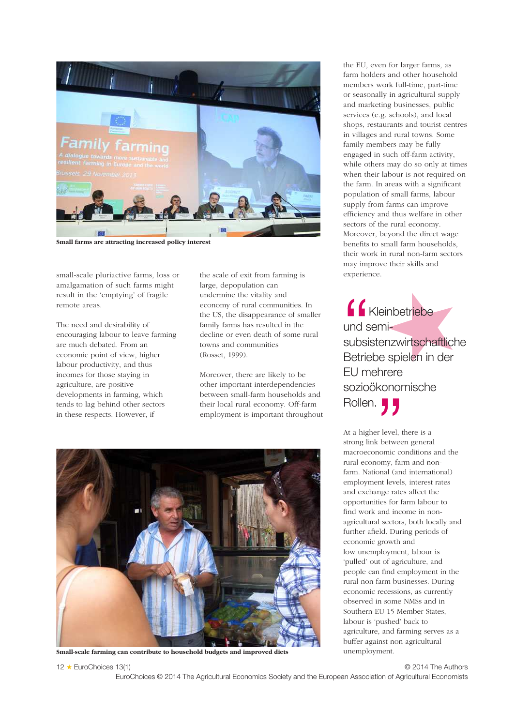

**Small farms are attracting increased policy interest**

small- scale pluriactive farms, loss or amalgamation of such farms might result in the 'emptying' of fragile remote areas.

The need and desirability of encouraging labour to leave farming are much debated. From an economic point of view, higher labour productivity, and thus incomes for those staying in agriculture, are positive developments in farming, which tends to lag behind other sectors in these respects. However, if

the scale of exit from farming is large, depopulation can undermine the vitality and economy of rural communities. In the US, the disappearance of smaller family farms has resulted in the decline or even death of some rural towns and communities (Rosset, 1999).

Moreover, there are likely to be other important interdependencies between small-farm households and their local rural economy. Off-farm employment is important throughout



**Small- scale farming can contribute to household budgets and improved diets**

the EU, even for larger farms, as farm holders and other household members work full-time, part-time or seasonally in agricultural supply and marketing businesses, public services (e.g. schools), and local shops, restaurants and tourist centres in villages and rural towns. Some family members may be fully engaged in such off-farm activity, while others may do so only at times when their labour is not required on the farm. In areas with a significant population of small farms, labour supply from farms can improve efficiency and thus welfare in other sectors of the rural economy. Moreover, beyond the direct wage benefits to small farm households, their work in rural non-farm sectors may improve their skills and experience.

Subsi<br>
Subsi<br>
Betrie Kleinbetriebe und semisubsistenzwirtschaftliche Betriebe spielen in der EU mehrere sozioökonomische Rollen. **J** 

 At a higher level, there is a strong link between general macroeconomic conditions and the rural economy, farm and nonfarm. National (and international) employment levels, interest rates and exchange rates affect the opportunities for farm labour to find work and income in nonagricultural sectors, both locally and further afield. During periods of economic growth and low unemployment, labour is 'pulled' out of agriculture, and people can find employment in the rural non-farm businesses. During economic recessions, as currently observed in some NMSs and in Southern EU-15 Member States, labour is 'pushed' back to agriculture, and farming serves as a buffer against non-agricultural unemployment.

EuroChoices © 2014 The Agricultural Economics Society and the European Association of Agricultural Economists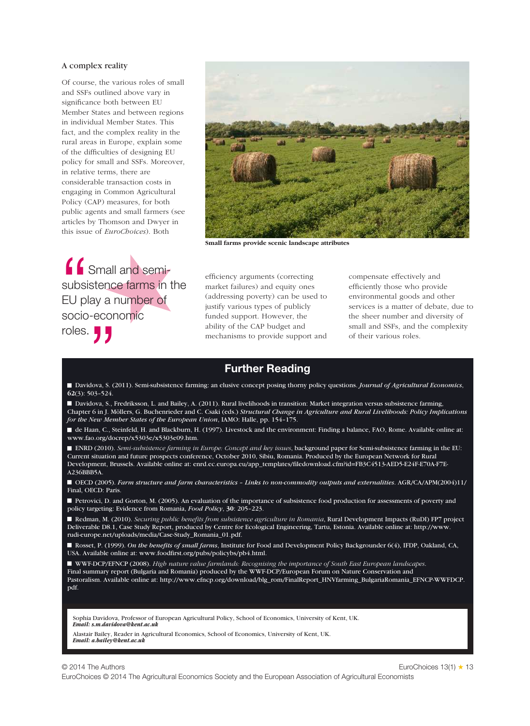#### A complex reality

Of course, the various roles of small and SSFs outlined above vary in significance both between EU Member States and between regions in individual Member States. This fact, and the complex reality in the rural areas in Europe, explain some of the difficulties of designing EU policy for small and SSFs. Moreover, in relative terms, there are considerable transaction costs in engaging in Common Agricultural Policy (CAP) measures, for both public agents and small farmers (see articles by Thomson and Dwyer in this issue of *EuroChoices* ). Both

( Small and semisubsistence farms in the EU play a number of socio-economic

roles.  $\overline{\phantom{a}}$ <br> $\overline{\phantom{a}}$  Davidova, s.  $\overline{\phantom{a}}$ 



**Small farms provide scenic landscape attributes**

efficiency arguments (correcting market failures) and equity ones (addressing poverty) can be used to justify various types of publicly funded support. However, the ability of the CAP budget and mechanisms to provide support and compensate effectively and efficiently those who provide environmental goods and other services is a matter of debate, due to the sheer number and diversity of small and SSFs, and the complexity of their various roles.

#### **Further Reading**

■ Davidova, S. (2011). Semi-subsistence farming: an elusive concept posing thorny policy questions. *Journal of Agricultural Economics*, 62(3): 503-524.

Davidova, S., Fredriksson, L. and Bailey, A. (2011). Rural livelihoods in transition: Market integration versus subsistence farming, Chapter 6 in J. Möllers , G. Buchenrieder and C. Csaki (eds.) *Structural Change in Agriculture and Rural Livelihoods: Policy Implications*  for the New Member States of the European Union, IAMO: Halle, pp. 154-175.

■ de Haan, C., Steinfeld, H. and Blackburn, H. (1997). Livestock and the environment: Finding a balance, FAO, Rome. Available online at: www.fao.org/docrep/x5303e/x5303e09.htm .

**ENRD** (2010). *Semi-subsistence farming in Europe: Concept and key issues, background paper for Semi-subsistence farming in the EU:* Current situation and future prospects conference, October 2010, Sibiu, Romania. Produced by the European Network for Rural Development, Brussels. Available online at: enrd.ec.europa.eu/app\_templates/filedownload.cfm?id=FB3C4513-AED5-E24F-E70A-F7E-A236BBB5A.

■ OECD (2005). *Farm structure and farm characteristics - Links to non-commodity outputs and externalities.* AGR/CA/APM(2004)11/ Final, OECD: Paris.

■ Petrovici, D. and Gorton, M. (2005). An evaluation of the importance of subsistence food production for assessments of poverty and policy targeting: Evidence from Romania, *Food Policy*, 30: 205-223.

■ Redman, M. (2010). *Securing public benefits from subsistence agriculture in Romania*, Rural Development Impacts (RuDI) FP7 project Deliverable D8.1, Case Study Report, produced by Centre for Ecological Engineering, Tartu, Estonia. Available online at: http://www. rudi-europe.net/uploads/media/Case-Study\_Romania\_01.pdf .

■ Rosset, P. (1999). *On the benefits of small farms*, Institute for Food and Development Policy Backgrounder 6(4), IFDP, Oakland, CA, USA . Available online at: www.foodfirst.org/pubs/policybs/pb4.html .

<sup>i</sup> WWF-DCP/EFNCP ( 2008 ). *High nature value farmlands: Recognising the importance of South East European landscapes* . Final summary report (Bulgaria and Romania) produced by the WWF-DCP/European Forum on Nature Conservation and Pastoralism. Available online at: http://www.efncp.org/download/blg\_rom/FinalReport\_HNVfarming\_BulgariaRomania\_EFNCP-WWFDCP. pdf.

Sophia Davidova, Professor of European Agricultural Policy, School of Economics, University of Kent, UK.  *Email: s.m.davidova@kent.ac.uk* 

Alastair Bailey, Reader in Agricultural Economics, School of Economics, University of Kent, UK.  *Email: a.bailey@kent.ac.uk*